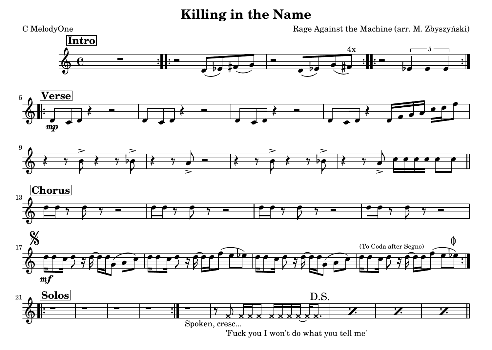## **Killing in the Name**